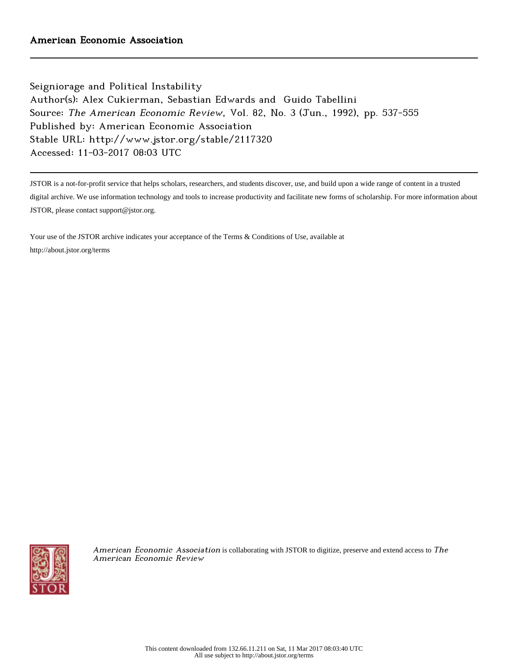Seigniorage and Political Instability Author(s): Alex Cukierman, Sebastian Edwards and Guido Tabellini Source: The American Economic Review, Vol. 82, No. 3 (Jun., 1992), pp. 537-555 Published by: American Economic Association Stable URL: http://www.jstor.org/stable/2117320 Accessed: 11-03-2017 08:03 UTC

JSTOR is a not-for-profit service that helps scholars, researchers, and students discover, use, and build upon a wide range of content in a trusted

digital archive. We use information technology and tools to increase productivity and facilitate new forms of scholarship. For more information about JSTOR, please contact support@jstor.org.

Your use of the JSTOR archive indicates your acceptance of the Terms & Conditions of Use, available at http://about.jstor.org/terms



American Economic Association is collaborating with JSTOR to digitize, preserve and extend access to The American Economic Review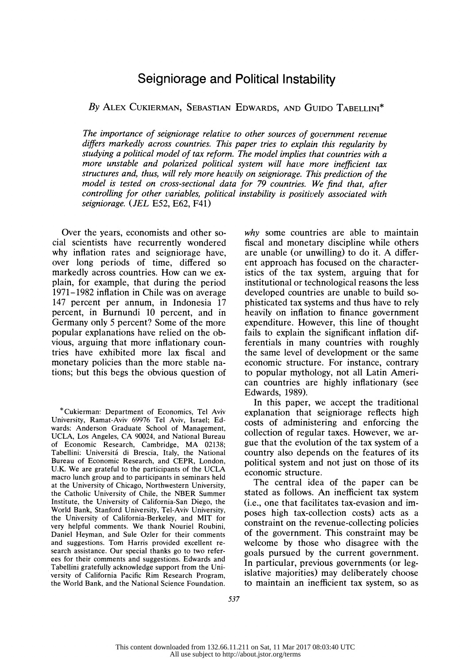# Seigniorage and Political Instability

## By ALEX CUKIERMAN, SEBASTIAN EDWARDS, AND GUIDO TABELLINI<sup>\*</sup>

 The importance of seigniorage relative to other sources of government revenue differs markedly across countries. This paper tries to explain this regularity by studying a political model of tax reform. The model implies that countries with a more unstable and polarized political system will have more inefficient tax structures and, thus, will rely more heavily on seigniorage. This prediction of the model is tested on cross-sectional data for 79 countries. We find that, after controlling for other variables, political instability is positively associated with seigniorage. (JEL E52, E62, F41)

 Over the years, economists and other so cial scientists have recurrently wondered why inflation rates and seigniorage have, over long periods of time, differed so markedly across countries. How can we ex plain, for example, that during the period 1971-1982 inflation in Chile was on average 147 percent per annum, in Indonesia 17 percent, in Burnundi 10 percent, and in Germany only 5 percent? Some of the more popular explanations have relied on the ob vious, arguing that more inflationary coun tries have exhibited more lax fiscal and monetary policies than the more stable na tions; but this begs the obvious question of

why some countries are able to maintain fiscal and monetary discipline while others are unable (or unwilling) to do it. A differ ent approach has focused on the character istics of the tax system, arguing that for institutional or technological reasons the less developed countries are unable to build so phisticated tax systems and thus have to rely heavily on inflation to finance government expenditure. However, this line of thought fails to explain the significant inflation dif ferentials in many countries with roughly the same level of development or the same economic structure. For instance, contrary to popular mythology, not all Latin Ameri can countries are highly inflationary (see Edwards, 1989).

 In this paper, we accept the traditional explanation that seigniorage reflects high costs of administering and enforcing the collection of regular taxes. However, we ar gue that the evolution of the tax system of a country also depends on the features of its political system and not just on those of its economic structure.

 The central idea of the paper can be stated as follows. An inefficient tax system (i.e., one that facilitates tax-evasion and im poses high tax-collection costs) acts as a constraint on the revenue-collecting policies of the government. This constraint may be welcome by those who disagree with the goals pursued by the current government. In particular, previous governments (or leg islative majorities) may deliberately choose to maintain an inefficient tax system, so as

 <sup>\*</sup>Cukierman: Department of Economics, Tel Aviv University, Ramat-Aviv 69976 Tel Aviv, Israel; Ed wards: Anderson Graduate School of Management, UCLA, Los Angeles, CA 90024, and National Bureau of Economic Research, Cambridge, MA 02138; Tabellini: Universitá di Brescia, Italy, the National Bureau of Economic Research, and CEPR, London, U.K. We are grateful to the participants of the UCLA macro lunch group and to participants in seminars held at the University of Chicago, Northwestern University, the Catholic University of Chile, the NBER Summer Institute, the University of California-San Diego, the World Bank, Stanford University, Tel-Aviv University, the University of California-Berkeley, and MIT for very helpful comments. We thank Nouriel Roubini, Daniel Heyman, and Sule Ozler for their comments and suggestions. Tom Harris provided excellent re search assistance. Our special thanks go to two refer ees for their comments and suggestions. Edwards and Tabellini gratefully acknowledge support from the Uni versity of California Pacific Rim Research Program, the World Bank, and the National Science Foundation.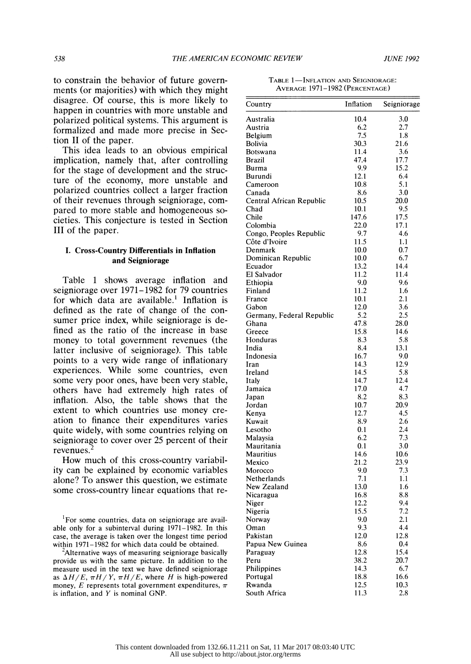to constrain the behavior of future govern ments (or majorities) with which they might disagree. Of course, this is more likely to happen in countries with more unstable and polarized political systems. This argument is formalized and made more precise in Sec tion II of the paper.

 This idea leads to an obvious empirical implication, namely that, after controlling for the stage of development and the struc ture of the economy, more unstable and polarized countries collect a larger fraction of their revenues through seigniorage, com pared to more stable and homogeneous so cieties. This conjecture is tested in Section III of the paper.

## I. Cross-Country Differentials in Inflation and Seigniorage

 Table 1 shows average inflation and seigniorage over 1971-1982 for 79 countries for which data are available.' Inflation is defined as the rate of change of the con sumer price index, while seigniorage is de fined as the ratio of the increase in base money to total government revenues (the latter inclusive of seigniorage). This table points to a very wide range of inflationary experiences. While some countries, even some very poor ones, have been very stable, others have had extremely high rates of inflation. Also, the table shows that the extent to which countries use money cre ation to finance their expenditures varies quite widely, with some countries relying on seigniorage to cover over 25 percent of their revenues.<sup>2</sup>

 How much of this cross-country variabil ity can be explained by economic variables alone? To answer this question, we estimate some cross-country linear equations that re-

<sup>2</sup>Alternative ways of measuring seigniorage basically provide us with the same picture. In addition to the measure used in the text we have defined seigniorage as  $\Delta H/E$ ,  $\pi H/Y$ ,  $\pi H/E$ , where H is high-powered money, E represents total government expenditures,  $\pi$ is inflation, and Y is nominal GNP.

| Country                   | Inflation | Seigniorage |
|---------------------------|-----------|-------------|
| Australia                 | 10.4      | 3.0         |
| Austria                   | 6.2       | 2.7         |
| Belgium                   | 7.5       | 1.8         |
| Bolivia                   | 30.3      | 21.6        |
| Botswana                  | 11.4      | 3.6         |
| Brazil                    | 47.4      | 17.7        |
| Burma                     | 9.9       | 15.2        |
| Burundi                   | 12.1      | 6.4         |
| Cameroon                  | 10.8      | 5.1         |
| Canada                    | 8.6       | 3.0         |
| Central African Republic  | 10.5      | 20.0        |
| Chad                      | 10.1      | 9.5         |
| Chile                     | 147.6     | 17.5        |
| Colombia                  | 22.0      | 17.1        |
| Congo, Peoples Republic   | 9.7       | 4.6         |
| Côte d'Ivoire             | 11.5      | 1.1         |
| Denmark                   | 10.0      | 0.7         |
| Dominican Republic        | 10.0      | 6.7         |
| Ecuador                   | 13.2      | 14.4        |
| El Salvador               | 11.2      | 11.4        |
| Ethiopia                  | 9.0       | 9.6         |
| Finland                   | 11.2      | 1.6         |
| France                    | 10.1      | 2.1         |
| Gabon                     | 12.0      | 3.6         |
| Germany, Federal Republic | 5.2       | 2.5         |
| Ghana                     | 47.8      | 28.0        |
| Greece                    | 15.8      | 14.6        |
| Honduras                  | 8.3       | 5.8         |
| India                     | 8.4       | 13.1        |
| Indonesia                 | 16.7      | 9.0         |
| Iran                      | 14.3      | 12.9        |
| Ireland                   | 14.5      | 5.8         |
| Italy                     | 14.7      | 12.4        |
| Jamaica                   | 17.0      | 4.7         |
| Japan                     | 8.2       | 8.3         |
| Jordan                    | 10.7      | 20.9        |
| Kenya                     | 12.7      | 4.5         |
| Kuwait                    | 8.9       | 2.6         |
| Lesotho                   | 0.1       | 2.4         |
| Malaysia                  | 6.2       | 7.3         |
| Mauritania                | 0.1       | 3.0         |
| <b>Mauritius</b>          | 14.6      | 10.6        |
| Mexico                    | 21.2      | 23.9        |
| Morocco                   | 9.0       | 7.3         |
| Netherlands               | 7.1       | 1.1         |
| New Zealand               | 13.0      | 1.6         |
| Nicaragua                 | 16.8      | 8.8         |
| Niger                     | 12.2      | 9.4         |
| Nigeria                   | 15.5      | 7.2         |
| Norway                    | 9.0       | 2.1         |
| Oman                      | 9.3       | 4.4         |
| Pakistan                  | 12.0      | 12.8        |
| Papua New Guinea          | 8.6       | 0.4         |
| Paraguay                  | 12.8      | 15.4        |
| Peru                      | 38.2      | 20.7        |
| Philippines               | 14.3      | 6.7         |
| Portugal                  | 18.8      | 16.6        |
| Rwanda                    | 12.5      | 10.3        |
| South Africa              | 11.3      | 2.8         |

TABLE 1-INFLATION AND SEIGNIORAGE: AVERAGE 1971-1982 (PERCENTAGE)

<sup>&</sup>lt;sup>1</sup>For some countries, data on seigniorage are available only for a subinterval during  $1971-1982$ . In this case, the average is taken over the longest time period within 1971-1982 for which data could be obtained.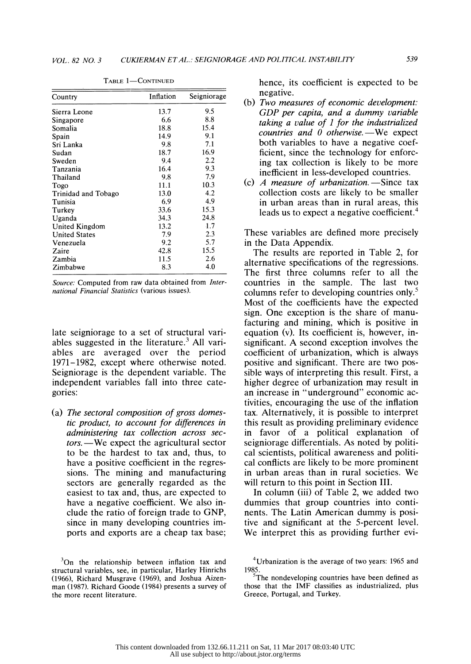| Country              | Inflation | Seigniorage |
|----------------------|-----------|-------------|
| Sierra Leone         | 13.7      | 9.5         |
| Singapore            | 6.6       | 8.8         |
| Somalia              | 18.8      | 15.4        |
| Spain                | 14.9      | 9.1         |
| Sri Lanka            | 9.8       | 7.1         |
| Sudan                | 18.7      | 16.9        |
| Sweden               | 9.4       | 2.2         |
| Tanzania             | 16.4      | 9.3         |
| Thailand             | 9.8       | 7.9         |
| Togo                 | 11.1      | 10.3        |
| Trinidad and Tobago  | 13.0      | 4.2         |
| Tunisia              | 6.9       | 4.9         |
| Turkev               | 33.6      | 15.3        |
| Uganda               | 34.3      | 24.8        |
| United Kingdom       | 13.2      | 1.7         |
| <b>United States</b> | 7.9       | 2.3         |
| Venezuela            | 9.2       | 5.7         |
| Zaire                | 42.8      | 15.5        |
| Zambia               | 11.5      | 2.6         |
| Zimbabwe             | 8.3       | 4.0         |

TABLE 1-CONTINUED

Source: Computed from raw data obtained from International Financial Statistics (various issues).

 late seigniorage to a set of structural vari ables suggested in the literature.<sup>3</sup> All vari ables are averaged over the period 1971-1982, except where otherwise noted. Seigniorage is the dependent variable. The independent variables fall into three cate gories:

 (a) The sectoral composition of gross domes tic product, to account for differences in administering tax collection across sec tors.—We expect the agricultural sector to be the hardest to tax and, thus, to have a positive coefficient in the regres sions. The mining and manufacturing sectors are generally regarded as the easiest to tax and, thus, are expected to have a negative coefficient. We also in clude the ratio of foreign trade to GNP, since in many developing countries im ports and exports are a cheap tax base;

 hence, its coefficient is expected to be negative.

- (b) Two measures of economic development: GDP per capita, and a dummy variable taking a value of  $1$  for the industrialized countries and  $\vec{0}$  otherwise. - We expect both variables to have a negative coef ficient, since the technology for enforc ing tax collection is likely to be more inefficient in less-developed countries.
- (c) A measure of urbanization.  $-\text{Since tax}$  collection costs are likely to be smaller in urban areas than in rural areas, this leads us to expect a negative coefficient.<sup>4</sup>

 These variables are defined more precisely in the Data Appendix.

 The results are reported in Table 2, for alternative specifications of the regressions. The first three columns refer to all the countries in the sample. The last two columns refer to developing countries only.5 Most of the coefficients have the expected sign. One exception is the share of manu facturing and mining, which is positive in equation (v). Its coefficient is, however, in significant. A second exception involves the coefficient of urbanization, which is always positive and significant. There are two pos sible ways of interpreting this result. First, a higher degree of urbanization may result in an increase in "underground" economic ac tivities, encouraging the use of the inflation tax. Alternatively, it is possible to interpret this result as providing preliminary evidence in favor of a political explanation of seigniorage differentials. As noted by politi cal scientists, political awareness and politi cal conflicts are likely to be more prominent in urban areas than in rural societies. We will return to this point in Section III.

 In column (iii) of Table 2, we added two dummies that group countries into conti nents. The Latin American dummy is posi tive and significant at the 5-percent level. We interpret this as providing further evi-

 $3$ On the relationship between inflation tax and structural variables, see, in particular, Harley Hinrichs (1966), Richard Musgrave (1969), and Joshua Aizen man (1987). Richard Goode (1984) presents a survey of the more recent literature.

 $4$ Urbanization is the average of two years: 1965 and 1985.

 $5$ The nondeveloping countries have been defined as those that the IMF classifies as industrialized, plus Greece, Portugal, and Turkey.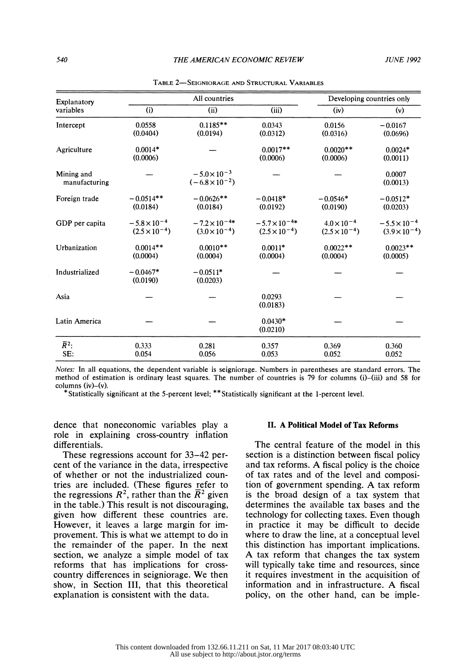| Explanatory                 |                                                 | All countries                                    |                                                  | Developing countries only                      |                                                 |
|-----------------------------|-------------------------------------------------|--------------------------------------------------|--------------------------------------------------|------------------------------------------------|-------------------------------------------------|
| variables                   | (i)                                             | (ii)                                             | (iii)                                            | (iv)                                           | (v)                                             |
| Intercept                   | 0.0558<br>(0.0404)                              | $0.1185**$<br>(0.0194)                           | 0.0343<br>(0.0312)                               | 0.0156<br>(0.0316)                             | $-0.0167$<br>(0.0696)                           |
| Agriculture                 | $0.0014*$<br>(0.0006)                           |                                                  | $0.0017**$<br>(0.0006)                           | $0.0020**$<br>(0.0006)                         | $0.0024*$<br>(0.0011)                           |
| Mining and<br>manufacturing |                                                 | $-5.0 \times 10^{-3}$<br>$(-6.8\times10^{-2})$   |                                                  |                                                | 0.0007<br>(0.0013)                              |
| Foreign trade               | $-0.0514**$<br>(0.0184)                         | $-0.0626**$<br>(0.0184)                          | $-0.0418*$<br>(0.0192)                           | $-0.0546*$<br>(0.0190)                         | $-0.0512*$<br>(0.0203)                          |
| GDP per capita              | $-5.8 \times 10^{-4}$<br>$(2.5 \times 10^{-4})$ | $-7.2 \times 10^{-4*}$<br>$(3.0 \times 10^{-4})$ | $-5.7 \times 10^{-4*}$<br>$(2.5 \times 10^{-4})$ | $4.0 \times 10^{-4}$<br>$(2.5 \times 10^{-4})$ | $-5.5 \times 10^{-4}$<br>$(3.9 \times 10^{-4})$ |
| Urbanization                | $0.0014**$<br>(0.0004)                          | $0.0010**$<br>(0.0004)                           | $0.0011*$<br>(0.0004)                            | $0.0022**$<br>(0.0004)                         | $0.0023**$<br>(0.0005)                          |
| Industrialized              | $-0.0467*$<br>(0.0190)                          | $-0.0511*$<br>(0.0203)                           |                                                  |                                                |                                                 |
| Asia                        |                                                 |                                                  | 0.0293<br>(0.0183)                               |                                                |                                                 |
| Latin America               |                                                 |                                                  | $0.0430*$<br>(0.0210)                            |                                                |                                                 |
| $\overline{R}^2$ :<br>SE:   | 0.333<br>0.054                                  | 0.281<br>0.056                                   | 0.357<br>0.053                                   | 0.369<br>0.052                                 | 0.360<br>0.052                                  |

TABLE 2-SEIGNIORAGE AND STRUCTURAL VARIABLES

 Notes: In all equations, the dependent variable is seigniorage. Numbers in parentheses are standard errors. The method of estimation is ordinary least squares. The number of countries is 79 for columns (i)-(iii) and 58 for columns (iv) $-(v)$ .

\*Statistically significant at the 5-percent level; \*\*Statistically significant at the 1-percent level.

 dence that noneconomic variables play a role in explaining cross-country inflation differentials.

 These regressions account for 33-42 per cent of the variance in the data, irrespective of whether or not the industrialized coun tries are included. (These figures refer to the regressions  $R^2$ , rather than the  $\overline{R}^2$  given in the table.) This result is not discouraging, given how different these countries are. However, it leaves a large margin for im provement. This is what we attempt to do in the remainder of the paper. In the next section, we analyze a simple model of tax reforms that has implications for cross country differences in seigniorage. We then show, in Section III, that this theoretical explanation is consistent with the data.

#### II. A Political Model of Tax Reforms

 The central feature of the model in this section is a distinction between fiscal policy and tax reforms. A fiscal policy is the choice of tax rates and of the level and composi tion of government spending. A tax reform is the broad design of a tax system that determines the available tax bases and the technology for collecting taxes. Even though in practice it may be difficult to decide where to draw the line, at a conceptual level this distinction has important implications. A tax reform that changes the tax system will typically take time and resources, since it requires investment in the acquisition of information and in infrastructure. A fiscal policy, on the other hand, can be imple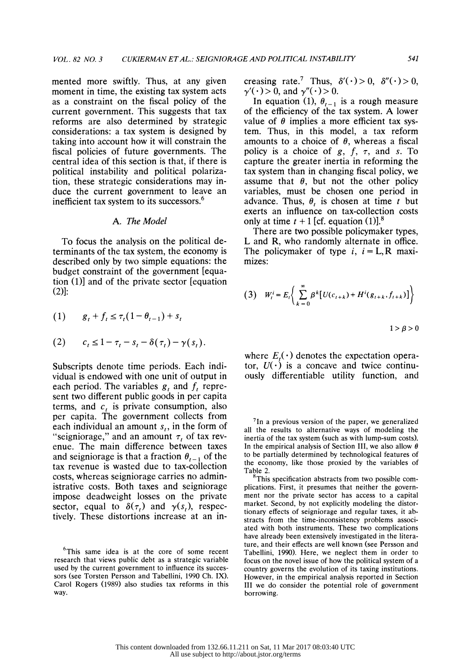mented more swiftly. Thus, at any given moment in time, the existing tax system acts as a constraint on the fiscal policy of the current government. This suggests that tax reforms are also determined by strategic considerations: a tax system is designed by taking into account how it will constrain the fiscal policies of future governments. The central idea of this section is that, if there is political instability and political polariza tion, these strategic considerations may in duce the current government to leave an inefficient tax system to its successors.<sup>6</sup>

## A. The Model

 To focus the analysis on the political de terminants of the tax system, the economy is described only by two simple equations: the budget constraint of the government [equa tion (1)] and of the private sector [equation (2)]:

$$
(1) \t g_t + f_t \leq \tau_t (1 - \theta_{t-1}) + s_t
$$

$$
(2) \qquad c_t \leq 1 - \tau_t - s_t - \delta(\tau_t) - \gamma(s_t).
$$

 Subscripts denote time periods. Each indi vidual is endowed with one unit of output in each period. The variables  $g_t$  and  $f_t$  repre sent two different public goods in per capita terms, and  $c_t$  is private consumption, also per capita. The government collects from each individual an amount  $s_t$ , in the form of "seigniorage," and an amount  $\tau$ , of tax rev enue. The main difference between taxes and seigniorage is that a fraction  $\theta_{t-1}$  of the tax revenue is wasted due to tax-collection costs, whereas seigniorage carries no admin istrative costs. Both taxes and seigniorage impose deadweight losses on the private sector, equal to  $\delta(\tau)$  and  $\gamma(s)$ , respectively. These distortions increase at an in-

<sup>6</sup>This same idea is at the core of some recent research that views public debt as a strategic variable used by the current government to influence its succes sors (see Torsten Persson and Tabellini, 1990 Ch. IX). Carol Rogers (1989) also studies tax reforms in this way.

creasing rate.<sup>7</sup> Thus,  $\delta'(\cdot) > 0$ ,  $\delta''(\cdot) > 0$ ,  $\gamma'(\cdot) > 0$ , and  $\gamma''(\cdot) > 0$ .

In equation (1),  $\theta_{t-1}$  is a rough measure of the efficiency of the tax system. A lower value of  $\theta$  implies a more efficient tax sys tem. Thus, in this model, a tax reform amounts to a choice of  $\theta$ , whereas a fiscal policy is a choice of  $g, f, \tau$ , and s. To capture the greater inertia in reforming the tax system than in changing fiscal policy, we assume that  $\theta$ , but not the other policy variables, must be chosen one period in advance. Thus,  $\theta$ , is chosen at time t but exerts an influence on tax-collection costs only at time  $t + 1$  [cf. equation (1)].<sup>8</sup>

 There are two possible policymaker types, L and R, who randomly alternate in office. The policymaker of type  $i, i = L, R$  maximizes:

(3) 
$$
W_t^i = E_t \bigg\{ \sum_{k=0}^{\infty} \beta^k [U(c_{t+k}) + H^i(g_{t+k}, f_{t+k})] \bigg\}
$$
  
  $1 > \beta > 0$ 

where  $E_{\cdot}(\cdot)$  denotes the expectation operator,  $U(\cdot)$  is a concave and twice continuously differentiable utility function, and

 $7$ In a previous version of the paper, we generalized all the results to alternative ways of modeling the inertia of the tax system (such as with lump-sum costs). In the empirical analysis of Section III, we also allow  $\theta$  to be partially determined by technological features of the economy, like those proxied by the variables of Table 2.

<sup>8</sup>This specification abstracts from two possible com plications. First, it presumes that neither the govern ment nor the private sector has access to a capital market. Second, by not explicitly modeling the distor tionary effects of seigniorage and regular taxes, it ab stracts from the time-inconsistency problems associ ated with both instruments. These two complications have already been extensively investigated in the litera ture, and their effects are well known (see Persson and Tabellini, 1990). Here, we neglect them in order to focus on the novel issue of how the political system of a country governs the evolution of its taxing institutions. However, in the empirical analysis reported in Section III we do consider the potential role of government borrowing.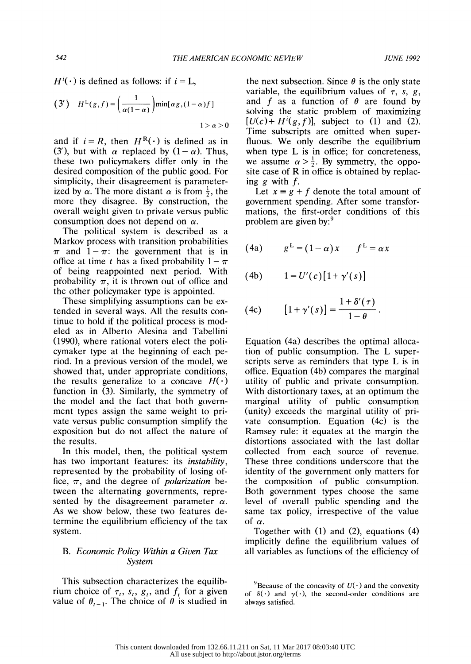$H^{i}(\cdot)$  is defined as follows: if  $i = L$ ,

$$
(3') \quad H^{\mathsf{L}}(g, f) = \left(\frac{1}{\alpha(1-\alpha)}\right) \min[\alpha g, (1-\alpha)f]
$$
  
 
$$
1 > \alpha > 0
$$

and if  $i = R$ , then  $H^{R}(\cdot)$  is defined as in (3'), but with  $\alpha$  replaced by  $(1 - \alpha)$ . Thus, these two policymakers differ only in the desired composition of the public good. For simplicity, their disagreement is parameter ized by  $\alpha$ . The more distant  $\alpha$  is from  $\frac{1}{2}$ , the more they disagree. By construction, the overall weight given to private versus public consumption does not depend on  $\alpha$ .

 The political system is described as a Markov process with transition probabilities  $\pi$  and  $1 - \pi$ : the government that is in office at time t has a fixed probability  $1 - \pi$  of being reappointed next period. With probability  $\pi$ , it is thrown out of office and the other policymaker type is appointed.

 These simplifying assumptions can be ex tended in several ways. All the results con tinue to hold if the political process is mod eled as in Alberto Alesina and Tabellini (1990), where rational voters elect the poli cymaker type at the beginning of each pe riod. In a previous version of the model, we showed that, under appropriate conditions, the results generalize to a concave  $H(\cdot)$  function in (3). Similarly, the symmetry of the model and the fact that both govern ment types assign the same weight to pri vate versus public consumption simplify the exposition but do not affect the nature of the results.

 In this model, then, the political system has two important features: its instability, represented by the probability of losing of fice,  $\pi$ , and the degree of *polarization* be tween the alternating governments, repre sented by the disagreement parameter  $\alpha$ . As we show below, these two features de termine the equilibrium efficiency of the tax system.

#### B. Economic Policy Within a Given Tax System

 This subsection characterizes the equilib rium choice of  $\tau_t$ ,  $s_t$ ,  $g_t$ , and  $f_t$  for a given  $\sigma$ value of  $\theta_{t-1}$ . The choice of  $\theta$  is studied in all

the next subsection. Since  $\theta$  is the only state variable, the equilibrium values of  $\tau$ , s, g, and f as a function of  $\theta$  are found by solving the static problem of maximizing  $[U(c) + H^{i}(g, f)]$ , subject to (1) and (2). Time subscripts are omitted when super fluous. We only describe the equilibrium when type L is in office; for concreteness, we assume  $\alpha > \frac{1}{2}$ . By symmetry, the oppo site case of R in office is obtained by replac ing g with f.

Let  $x \equiv g + f$  denote the total amount of government spending. After some transfor mations, the first-order conditions of this problem are given by:<sup>9</sup>

$$
(4a) \t gL = (1 - \alpha)x \t fL = \alpha x
$$

(4b) 
$$
1 = U'(c) [1 + \gamma'(s)]
$$

(4c) 
$$
[1+\gamma'(s)] = \frac{1+\delta'(\tau)}{1-\theta}.
$$

 Equation (4a) describes the optimal alloca tion of public consumption. The L super scripts serve as reminders that type L is in office. Equation (4b) compares the marginal utility of public and private consumption. With distortionary taxes, at an optimum the marginal utility of public consumption (unity) exceeds the marginal utility of pri vate consumption. Equation (4c) is the Ramsey rule: it equates at the margin the distortions associated with the last dollar collected from each source of revenue. These three conditions underscore that the identity of the government only matters for the composition of public consumption. Both government types choose the same level of overall public spending and the same tax policy, irrespective of the value of  $\alpha$ .

 Together with (1) and (2), equations (4) implicitly define the equilibrium values of all variables as functions of the efficiency of

<sup>&</sup>lt;sup>9</sup>Because of the concavity of  $U(\cdot)$  and the convexity of  $\delta(\cdot)$  and  $\gamma(\cdot)$ , the second-order conditions are always satisfied.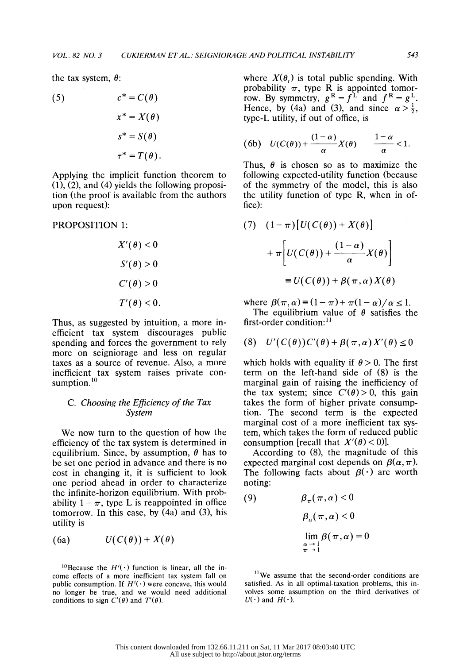the tax system,  $\theta$ :

(5) 
$$
c^* = C(\theta)
$$

$$
x^* = X(\theta)
$$

$$
s^* = S(\theta)
$$

$$
\tau^* = T(\theta).
$$

 Applying the implicit function theorem to  $(1)$ ,  $(2)$ , and  $(4)$  yields the following proposi tion (the proof is available from the authors upon request):

PROPOSITION 1:

$$
X'(\theta) < 0
$$
\n
$$
S'(\theta) > 0
$$
\n
$$
C'(\theta) > 0
$$
\n
$$
T'(\theta) < 0.
$$

 Thus, as suggested by intuition, a more in efficient tax system discourages public spending and forces the government to rely more on seigniorage and less on regular taxes as a source of revenue. Also, a more inefficient tax system raises private con sumption.<sup>10</sup>

## C. Choosing the Efficiency of the Tax System

 We now turn to the question of how the efficiency of the tax system is determined in equilibrium. Since, by assumption,  $\theta$  has to be set one period in advance and there is no cost in changing it, it is sufficient to look one period ahead in order to characterize the infinite-horizon equilibrium. With prob ability  $1 - \pi$ , type L is reappointed in office tomorrow. In this case, by (4a) and (3), his utility is

$$
(6a) \hspace{1cm} U(C(\theta)) + X(\theta)
$$

<sup>10</sup>Because the  $H^{i}(\cdot)$  function is linear, all the in come effects of a more inefficient tax system fall on public consumption. If  $H^{i}(\cdot)$  were concave, this would no longer be true, and we would need additional conditions to sign  $C'(\theta)$  and  $T'(\theta)$ .

where  $X(\theta)$  is total public spending. With probability  $\pi$ , type R is appointed tomorrow. By symmetry,  $g<sup>R</sup> = f<sup>L</sup>$  and  $f<sup>R</sup> = g<sup>L</sup>$ . Hence, by (4a) and (3), and since  $\alpha > \frac{1}{2}$ , type-L utility, if out of office, is

(6b) 
$$
U(C(\theta)) + \frac{(1-\alpha)}{\alpha}X(\theta) = \frac{1-\alpha}{\alpha} < 1.
$$

Thus,  $\theta$  is chosen so as to maximize the following expected-utility function (because of the symmetry of the model, this is also the utility function of type R, when in of fice):

(7) 
$$
(1 - \pi)[U(C(\theta)) + X(\theta)]
$$

$$
+ \pi \left[U(C(\theta)) + \frac{(1 - \alpha)}{\alpha}X(\theta)\right]
$$

$$
\equiv U(C(\theta)) + \beta(\pi, \alpha)X(\theta)
$$

where  $\beta(\pi, \alpha) = (1 - \pi) + \pi(1 - \alpha)/\alpha \leq 1$ .

The equilibrium value of  $\theta$  satisfies the first-order condition: $^{11}$ 

(8) 
$$
U'(C(\theta))C'(\theta) + \beta(\pi,\alpha)X'(\theta) \le 0
$$

which holds with equality if  $\theta > 0$ . The first term on the left-hand side of (8) is the marginal gain of raising the inefficiency of the tax system; since  $C'(\theta) > 0$ , this gain takes the form of higher private consump tion. The second term is the expected marginal cost of a more inefficient tax sys tem, which takes the form of reduced public consumption [recall that  $X'(\theta) < 0$ ].

 According to (8), the magnitude of this expected marginal cost depends on  $\beta(\alpha, \pi)$ . The following facts about  $\beta(\cdot)$  are worth noting:

(9) 
$$
\beta_{\pi}(\pi, \alpha) < 0
$$

$$
\beta_{\alpha}(\pi, \alpha) < 0
$$

$$
\lim_{\substack{\alpha \to 1 \\ \pi \to 1}} \beta(\pi, \alpha) = 0
$$

<sup>11</sup>We assume that the second-order conditions are satisfied. As in all optimal-taxation problems, this in volves some assumption on the third derivatives of  $U(\cdot)$  and  $H(\cdot)$ .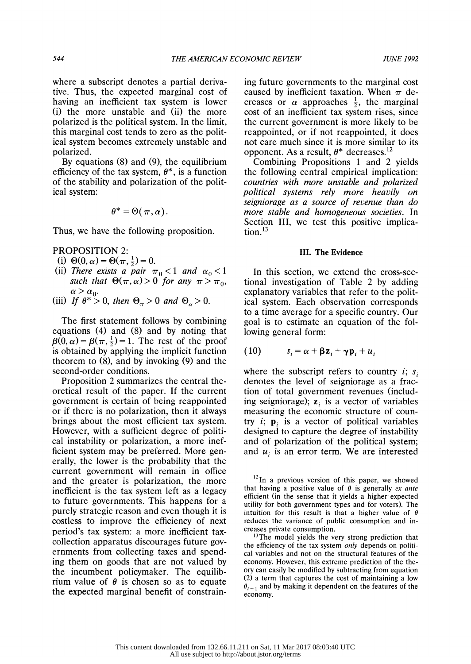where a subscript denotes a partial deriva tive. Thus, the expected marginal cost of having an inefficient tax system is lower (i) the more unstable and (ii) the more polarized is the political system. In the limit, this marginal cost tends to zero as the polit ical system becomes extremely unstable and polarized.

 By equations (8) and (9), the equilibrium efficiency of the tax system,  $\theta^*$ , is a function of the stability and polarization of the polit ical system:

$$
\theta^* = \Theta(\pi, \alpha).
$$

Thus, we have the following proposition.

PROPOSITION 2:

- (i)  $\Theta(0, \alpha) = \Theta(\pi, \frac{1}{2}) = 0.$
- (ii) There exists a pair  $\pi_0 < 1$  and  $\alpha_0 < 1$  In such that  $\Theta(\pi, \alpha) > 0$  for any  $\pi > \pi_0$ ,  $\alpha > \alpha_0$ .
- (iii) If  $\theta^* > 0$ , then  $\Theta_{\pi} > 0$  and  $\Theta_{\alpha} > 0$ .

 The first statement follows by combining equations (4) and (8) and by noting that  $\beta(0, \alpha) = \beta(\pi, \frac{1}{2}) = 1$ . The rest of the proof is obtained by applying the implicit function theorem to (8), and by invoking (9) and the second-order conditions.

 Proposition 2 summarizes the central the oretical result of the paper. If the current government is certain of being reappointed or if there is no polarization, then it always brings about the most efficient tax system. However, with a sufficient degree of politi cal instability or polarization, a more inef ficient system may be preferred. More gen erally, the lower is the probability that the current government will remain in office and the greater is polarization, the more inefficient is the tax system left as a legacy to future governments. This happens for a purely strategic reason and even though it is costless to improve the efficiency of next period's tax system: a more inefficient tax collection apparatus discourages future gov ernments from collecting taxes and spend ing them on goods that are not valued by the incumbent policymaker. The equilib rium value of  $\theta$  is chosen so as to equate the expected marginal benefit of constrain-

 ing future governments to the marginal cost caused by inefficient taxation. When  $\pi$  decreases or  $\alpha$  approaches  $\frac{1}{2}$ , the marginal cost of an inefficient tax system rises, since the current government is more likely to be reappointed, or if not reappointed, it does not care much since it is more similar to its opponent. As a result,  $\theta^*$  decreases.<sup>12</sup>

 Combining Propositions 1 and 2 yields the following central empirical implication: countries with more unstable and polarized political systems rely more heavily on seigniorage as a source of revenue than do more stable and homogeneous societies. In Section III, we test this positive implica tion. $13$ 

#### III. The Evidence

 In this section, we extend the cross-sec tional investigation of Table 2 by adding explanatory variables that refer to the polit ical system. Each observation corresponds to a time average for a specific country. Our goal is to estimate an equation of the fol lowing general form:

$$
(10) \t s_i = \alpha + \beta z_i + \gamma p_i + u_i
$$

where the subscript refers to country  $i$ ;  $s_i$  denotes the level of seigniorage as a frac tion of total government revenues (includ ing seigniorage);  $z_i$  is a vector of variables measuring the economic structure of coun try *i*;  $\mathbf{p}_i$  is a vector of political variables designed to capture the degree of instability and of polarization of the political system; and  $u_i$  is an error term. We are interested

<sup>13</sup>The model yields the very strong prediction that the efficiency of the tax system only depends on politi cal variables and not on the structural features of the economy. However, this extreme prediction of the the ory can easily be modified by subtracting from equation (2) a term that captures the cost of maintaining a low  $\theta_{t-1}$  and by making it dependent on the features of the economy.

 $12$ In a previous version of this paper, we showed that having a positive value of  $\theta$  is generally ex ante efficient (in the sense that it yields a higher expected utility for both government types and for voters). The intuition for this result is that a higher value of  $\theta$  reduces the variance of public consumption and in creases private consumption.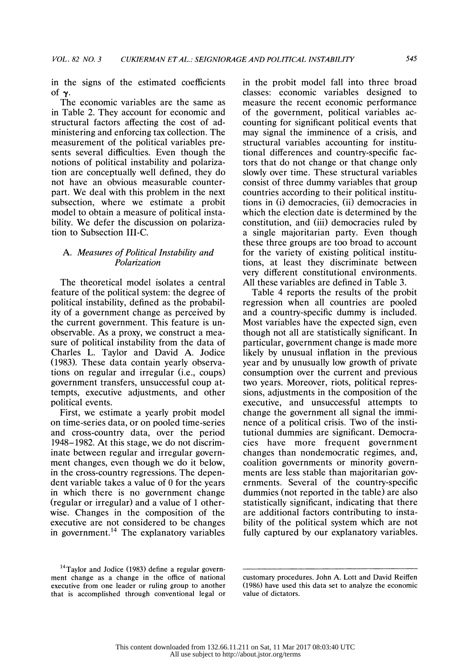in the signs of the estimated coefficients of  $\gamma$ .

 The economic variables are the same as in Table 2. They account for economic and structural factors affecting the cost of ad ministering and enforcing tax collection. The measurement of the political variables pre sents several difficulties. Even though the notions of political instability and polariza tion are conceptually well defined, they do not have an obvious measurable counter part. We deal with this problem in the next subsection, where we estimate a probit model to obtain a measure of political insta bility. We defer the discussion on polariza tion to Subsection III-C.

### A. Measures of Political Instability and Polarization

 The theoretical model isolates a central feature of the political system: the degree of political instability, defined as the probabil ity of a government change as perceived by the current government. This feature is un observable. As a proxy, we construct a mea sure of political instability from the data of Charles L. Taylor and David A. Jodice (1983). These data contain yearly observa tions on regular and irregular (i.e., coups) government transfers, unsuccessful coup at tempts, executive adjustments, and other political events.

 First, we estimate a yearly probit model on time-series data, or on pooled time-series and cross-country data, over the period 1948-1982. At this stage, we do not discrim inate between regular and irregular govern ment changes, even though we do it below, in the cross-country regressions. The depen dent variable takes a value of 0 for the years in which there is no government change (regular or irregular) and a value of 1 other wise. Changes in the composition of the executive are not considered to be changes in government.<sup>14</sup> The explanatory variables  in the probit model fall into three broad classes: economic variables designed to measure the recent economic performance of the government, political variables ac counting for significant political events that may signal the imminence of a crisis, and structural variables accounting for institu tional differences and country-specific fac tors that do not change or that change only slowly over time. These structural variables consist of three dummy variables that group countries according to their political institu tions in (i) democracies, (ii) democracies in which the election date is determined by the constitution, and (iii) democracies ruled by a single majoritarian party. Even though these three groups are too broad to account for the variety of existing political institu tions, at least they discriminate between very different constitutional environments. All these variables are defined in Table 3.

 Table 4 reports the results of the probit regression when all countries are pooled and a country-specific dummy is included. Most variables have the expected sign, even though not all are statistically significant. In particular, government change is made more likely by unusual inflation in the previous year and by unusually low growth of private consumption over the current and previous two years. Moreover, riots, political repres sions, adjustments in the composition of the executive, and unsuccessful attempts to change the government all signal the immi nence of a political crisis. Two of the insti tutional dummies are significant. Democra cies have more frequent government changes than nondemocratic regimes, and, coalition governments or minority govern ments are less stable than majoritarian gov ernments. Several of the country-specific dummies (not reported in the table) are also statistically significant, indicating that there are additional factors contributing to insta bility of the political system which are not fully captured by our explanatory variables.

 customary procedures. John A. Lott and David Reiffen (1986) have used this data set to analyze the economic value of dictators.

 $14$ Taylor and Jodice (1983) define a regular govern ment change as a change in the office of national executive from one leader or ruling group to another that is accomplished through conventional legal or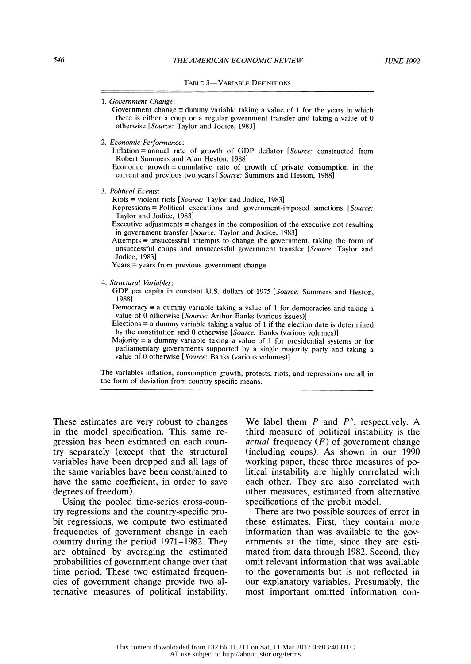1. Government Change:

Government change  $\equiv$  dummy variable taking a value of 1 for the years in which there is either a coup or a regular government transfer and taking a value of 0 otherwise [Source: Taylor and Jodice, 1983]

2. Economic Performance:

Inflation  $\equiv$  annual rate of growth of GDP deflator [Source: constructed from Robert Summers and Alan Heston, 1988]

Economic growth  $\equiv$  cumulative rate of growth of private consumption in the current and previous two years [Source: Summers and Heston, 1988]

3. Political Events:

Riots  $\equiv$  violent riots [*Source:* Taylor and Jodice, 1983]

Repressions  $\equiv$  Political executions and government-imposed sanctions [Source: Taylor and Jodice, 1983]

Executive adjustments  $\equiv$  changes in the composition of the executive not resulting in government transfer [Source: Taylor and Jodice, 1983]

Attempts  $\equiv$  unsuccessful attempts to change the government, taking the form of unsuccessful coups and unsuccessful government transfer [Source: Taylor and Jodice, 1983]

Years  $\equiv$  years from previous government change

4. Structural Variables:

 GDP per capita in constant U.S. dollars of 1975 [Source: Summers and Heston, 1988]

Democracy  $\equiv$  a dummy variable taking a value of 1 for democracies and taking a value of 0 otherwise [Source: Arthur Banks (various issues)]

Elections  $\equiv$  a dummy variable taking a value of 1 if the election date is determined by the constitution and 0 otherwise [Source: Banks (various volumes)]

Majority  $\equiv$  a dummy variable taking a value of 1 for presidential systems or for parliamentary governments supported by a single majority party and taking a value of 0 otherwise [Source: Banks (various volumes)]

 The variables inflation, consumption growth, protests, riots, and repressions are all in the form of deviation from country-specific means.

 These estimates are very robust to changes in the model specification. This same re gression has been estimated on each coun try separately (except that the structural variables have been dropped and all lags of the same variables have been constrained to have the same coefficient, in order to save degrees of freedom).

 Using the pooled time-series cross-coun try regressions and the country-specific pro bit regressions, we compute two estimated frequencies of government change in each country during the period 1971-1982. They are obtained by averaging the estimated probabilities of government change over that time period. These two estimated frequen cies of government change provide two al ternative measures of political instability. We label them  $P$  and  $P<sup>S</sup>$ , respectively. A third measure of political instability is the *actual* frequency  $(F)$  of government change (including coups). As shown in our 1990 working paper, these three measures of po litical instability are highly correlated with each other. They are also correlated with other measures, estimated from alternative specifications of the probit model.

 There are two possible sources of error in these estimates. First, they contain more information than was available to the gov ernments at the time, since they are esti mated from data through 1982. Second, they omit relevant information that was available to the governments but is not reflected in our explanatory variables. Presumably, the most important omitted information con-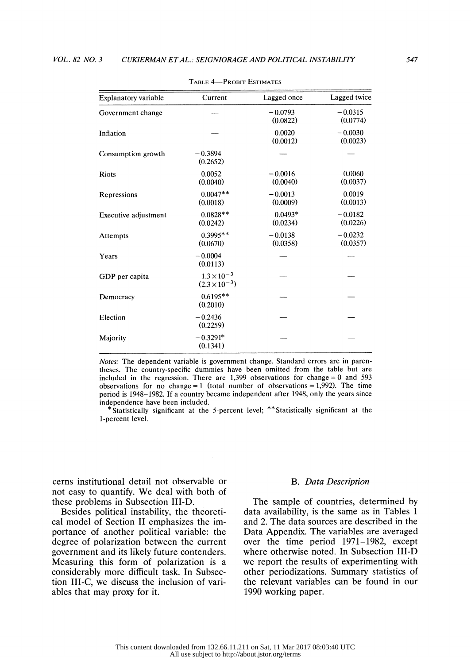| Explanatory variable | Current                                        | Lagged once           | Lagged twice          |
|----------------------|------------------------------------------------|-----------------------|-----------------------|
| Government change    |                                                | $-0.0793$<br>(0.0822) | $-0.0315$<br>(0.0774) |
| Inflation            |                                                | 0.0020<br>(0.0012)    | $-0.0030$<br>(0.0023) |
| Consumption growth   | $-0.3894$<br>(0.2652)                          |                       |                       |
| Riots                | 0.0052<br>(0.0040)                             | $-0.0016$<br>(0.0040) | 0.0060<br>(0.0037)    |
| Repressions          | $0.0047**$<br>(0.0018)                         | $-0.0013$<br>(0.0009) | 0.0019<br>(0.0013)    |
| Executive adjustment | $0.0828**$<br>(0.0242)                         | $0.0493*$<br>(0.0234) | $-0.0182$<br>(0.0226) |
| Attempts             | $0.3995**$<br>(0.0670)                         | $-0.0138$<br>(0.0358) | $-0.0232$<br>(0.0357) |
| Years                | $-0.0004$<br>(0.0113)                          |                       |                       |
| GDP per capita       | $1.3 \times 10^{-3}$<br>$(2.3 \times 10^{-3})$ |                       |                       |
| Democracy            | $0.6195**$<br>(0.2010)                         |                       |                       |
| Election             | $-0.2436$<br>(0.2259)                          |                       |                       |
| Majority             | $-0.3291*$<br>(0.1341)                         |                       |                       |
|                      |                                                |                       |                       |

TABLE 4-PROBIT ESTIMATES

 Notes: The dependent variable is government change. Standard errors are in paren theses. The country-specific dummies have been omitted from the table but are included in the regression. There are  $1,399$  observations for change = 0 and 593 observations for no change  $= 1$  (total number of observations  $= 1,992$ ). The time period is 1948-1982. If a country became independent after 1948, only the years since independence have been included.

 \*Statistically significant at the 5-percent level; \*\*Statistically significant at the 1-percent level.

 cerns institutional detail not observable or not easy to quantify. We deal with both of these problems in Subsection III-D.

 Besides political instability, the theoreti cal model of Section II emphasizes the im portance of another political variable: the degree of polarization between the current government and its likely future contenders. Measuring this form of polarization is a considerably more difficult task. In Subsec tion III-C, we discuss the inclusion of vari ables that may proxy for it.

## B. Data Description

 The sample of countries, determined by data availability, is the same as in Tables 1 and 2. The data sources are described in the Data Appendix. The variables are averaged over the time period 1971-1982, except where otherwise noted. In Subsection III-D we report the results of experimenting with other periodizations. Summary statistics of the relevant variables can be found in our 1990 working paper.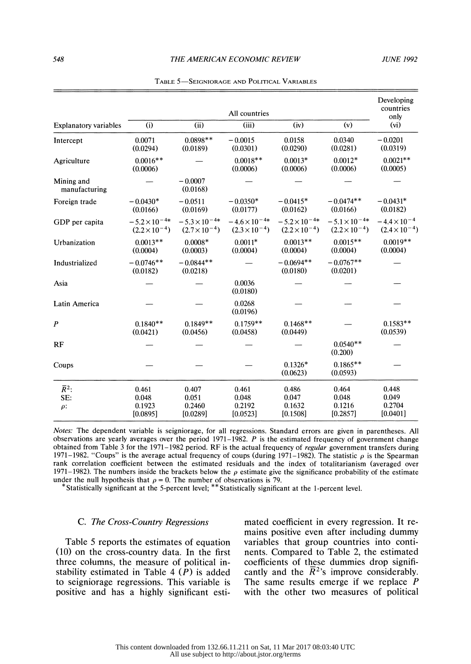|                                  | All countries                                  |                                                  |                                                  |                                                  |                                                  | Developing<br>countries                         |
|----------------------------------|------------------------------------------------|--------------------------------------------------|--------------------------------------------------|--------------------------------------------------|--------------------------------------------------|-------------------------------------------------|
| <b>Explanatory variables</b>     | (i)                                            | (ii)                                             | (iii)                                            | (iv)                                             | (v)                                              | only<br>(v <sub>i</sub> )                       |
| Intercept                        | 0.0071<br>(0.0294)                             | $0.0898**$<br>(0.0189)                           | $-0.0015$<br>(0.0301)                            | 0.0158<br>(0.0290)                               | 0.0340<br>(0.0281)                               | $-0.0201$<br>(0.0319)                           |
| Agriculture                      | $0.0016**$<br>(0.0006)                         |                                                  | $0.0018**$<br>(0.0006)                           | $0.0013*$<br>(0.0006)                            | $0.0012*$<br>(0.0006)                            | $0.0021**$<br>(0.0005)                          |
| Mining and<br>manufacturing      |                                                | $-0.0007$<br>(0.0168)                            |                                                  |                                                  |                                                  |                                                 |
| Foreign trade                    | $-0.0430*$<br>(0.0166)                         | $-0.0511$<br>(0.0169)                            | $-0.0350*$<br>(0.0177)                           | $-0.0415*$<br>(0.0162)                           | $-0.0474**$<br>(0.0166)                          | $-0.0431*$<br>(0.0182)                          |
| GDP per capita                   | $-5.2\times10^{-4*}$<br>$(2.2 \times 10^{-4})$ | $-5.3 \times 10^{-4*}$<br>$(2.7 \times 10^{-4})$ | $-4.6 \times 10^{-4*}$<br>$(2.3 \times 10^{-4})$ | $-5.2 \times 10^{-4*}$<br>$(2.2 \times 10^{-4})$ | $-5.1 \times 10^{-4*}$<br>$(2.2 \times 10^{-4})$ | $-4.4 \times 10^{-4}$<br>$(2.4 \times 10^{-4})$ |
| Urbanization                     | $0.0013**$<br>(0.0004)                         | $0.0008*$<br>(0.0003)                            | $0.0011*$<br>(0.0004)                            | $0.0013**$<br>(0.0004)                           | $0.0015**$<br>(0.0004)                           | $0.0019**$<br>(0.0004)                          |
| Industrialized                   | $-0.0746**$<br>(0.0182)                        | $-0.0844**$<br>(0.0218)                          |                                                  | $-0.0694**$<br>(0.0180)                          | $-0.0767**$<br>(0.0201)                          |                                                 |
| Asia                             |                                                |                                                  | 0.0036<br>(0.0180)                               |                                                  |                                                  |                                                 |
| Latin America                    |                                                |                                                  | 0.0268<br>(0.0196)                               |                                                  |                                                  |                                                 |
| $\boldsymbol{P}$                 | $0.1840**$<br>(0.0421)                         | $0.1849**$<br>(0.0456)                           | $0.1759**$<br>(0.0458)                           | $0.1468**$<br>(0.0449)                           |                                                  | $0.1583**$<br>(0.0539)                          |
| RF                               |                                                |                                                  |                                                  |                                                  | $0.0540**$<br>(0.200)                            |                                                 |
| Coups                            |                                                |                                                  |                                                  | $0.1326*$<br>(0.0623)                            | $0.1865**$<br>(0.0593)                           |                                                 |
| $\bar{R}^2$ :<br>SE:<br>$\rho$ : | 0.461<br>0.048<br>0.1923<br>[0.0895]           | 0.407<br>0.051<br>0.2460<br>[0.0289]             | 0.461<br>0.048<br>0.2192<br>[0.0523]             | 0.486<br>0.047<br>0.1632<br>[0.1508]             | 0.464<br>0.048<br>0.1216<br>[0.2857]             | 0.448<br>0.049<br>0.2704<br>[0.0401]            |

TABLE 5-SEIGNIORAGE AND POLITICAL VARIABLES

 Notes: The dependent variable is seigniorage, for all regressions. Standard errors are given in parentheses. All observations are yearly averages over the period  $1971-1982$ . P is the estimated frequency of government change obtained from Table 3 for the 1971-1982 period. RF is the actual frequency of regular government transfers during 1971–1982. "Coups" is the average actual frequency of coups (during 1971–1982). The statistic  $\rho$  is the Spearman rank correlation coefficient between the estimated residuals and the index of totalitarianism (averaged over 1971–1982). The numbers inside the brackets below the  $\rho$  estimate give the significance probability of the estimate under the null hypothesis that  $\rho = 0$ . The number of observations is 79.

\*Statistically significant at the 5-percent level; \*\*Statistically significant at the 1-percent level.

#### C. The Cross-Country Regressions

 Table 5 reports the estimates of equation (10) on the cross-country data. In the first three columns, the measure of political in stability estimated in Table 4  $(P)$  is added to seigniorage regressions. This variable is positive and has a highly significant esti-

 mated coefficient in every regression. It re mains positive even after including dummy variables that group countries into conti nents. Compared to Table 2, the estimated coefficients of these dummies drop signifi cantly and the  $\overline{R}^2$ 's improve considerably. The same results emerge if we replace P with the other two measures of political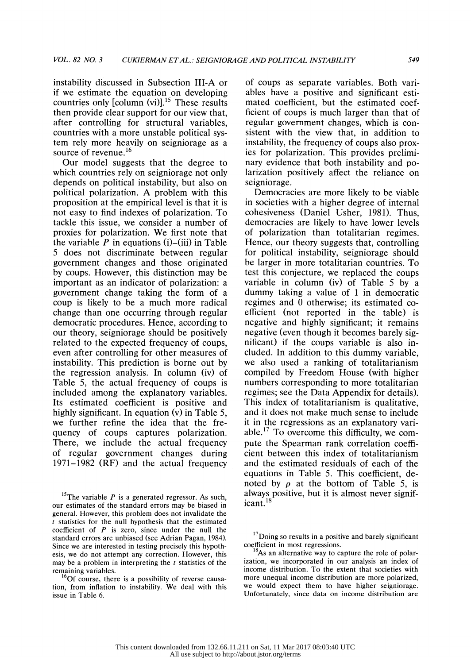instability discussed in Subsection III-A or if we estimate the equation on developing countries only  $[column (vi)]$ .<sup>15</sup> These results then provide clear support for our view that, after controlling for structural variables, countries with a more unstable political sys tem rely more heavily on seigniorage as a source of revenue.<sup>16</sup>

 Our model suggests that the degree to which countries rely on seigniorage not only depends on political instability, but also on political polarization. A problem with this proposition at the empirical level is that it is not easy to find indexes of polarization. To tackle this issue, we consider a number of proxies for polarization. We first note that the variable  $P$  in equations (i)–(iii) in Table 5 does not discriminate between regular government changes and those originated by coups. However, this distinction may be important as an indicator of polarization: a government change taking the form of a coup is likely to be a much more radical change than one occurring through regular democratic procedures. Hence, according to our theory, seigniorage should be positively related to the expected frequency of coups, even after controlling for other measures of instability. This prediction is borne out by the regression analysis. In column (iv) of Table 5, the actual frequency of coups is included among the explanatory variables. Its estimated coefficient is positive and highly significant. In equation (v) in Table 5, we further refine the idea that the fre quency of coups captures polarization. There, we include the actual frequency of regular government changes during 1971-1982 (RF) and the actual frequency

<sup>15</sup>The variable  $P$  is a generated regressor. As such, our estimates of the standard errors may be biased in general. However, this problem does not invalidate the  $t$  statistics for the null hypothesis that the estimated coefficient of  $P$  is zero, since under the null the standard errors are unbiased (see Adrian Pagan, 1984). Since we are interested in testing precisely this hypoth esis, we do not attempt any correction. However, this may be a problem in interpreting the  $t$  statistics of the remaining variables.

 $16$ Of course, there is a possibility of reverse causa tion, from inflation to instability. We deal with this issue in Table 6.

 of coups as separate variables. Both vari ables have a positive and significant esti mated coefficient, but the estimated coef ficient of coups is much larger than that of regular government changes, which is con sistent with the view that, in addition to instability, the frequency of coups also prox ies for polarization. This provides prelimi nary evidence that both instability and po larization positively affect the reliance on seigniorage.

 Democracies are more likely to be viable in societies with a higher degree of internal cohesiveness (Daniel Usher, 1981). Thus, democracies are likely to have lower levels of polarization than totalitarian regimes. Hence, our theory suggests that, controlling for political instability, seigniorage should be larger in more totalitarian countries. To test this conjecture, we replaced the coups variable in column (iv) of Table 5 by a dummy taking a value of 1 in democratic regimes and 0 otherwise; its estimated co efficient (not reported in the table) is negative and highly significant; it remains negative (even though it becomes barely sig nificant) if the coups variable is also in cluded. In addition to this dummy variable, we also used a ranking of totalitarianism compiled by Freedom House (with higher numbers corresponding to more totalitarian regimes; see the Data Appendix for details). This index of totalitarianism is qualitative, and it does not make much sense to include it in the regressions as an explanatory vari able.<sup>17</sup> To overcome this difficulty, we com pute the Spearman rank correlation coeffi cient between this index of totalitarianism and the estimated residuals of each of the equations in Table 5. This coefficient, de noted by  $\rho$  at the bottom of Table 5, is always positive, but it is almost never signif  $icant.<sup>18</sup>$ 

 $17$ Doing so results in a positive and barely significant coefficient in most regressions.

 $\frac{18}{18}$ As an alternative way to capture the role of polar ization, we incorporated in our analysis an index of income distribution. To the extent that societies with more unequal income distribution are more polarized, we would expect them to have higher seigniorage. Unfortunately, since data on income distribution are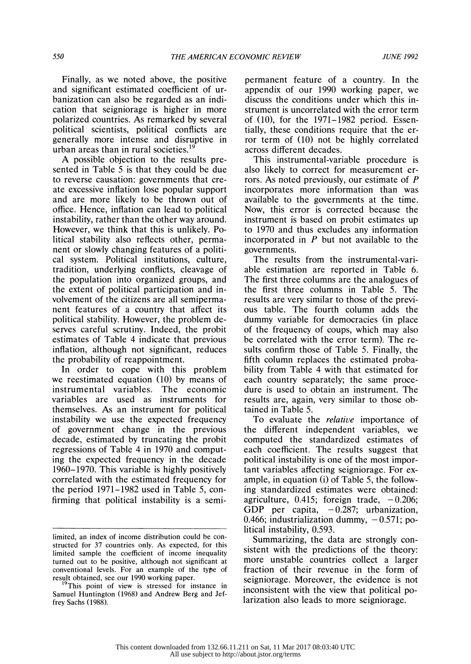Finally, as we noted above, the positive and significant estimated coefficient of ur banization can also be regarded as an indi cation that seigniorage is higher in more polarized countries. As remarked by several political scientists, political conflicts are generally more intense and disruptive in urban areas than in rural societies.<sup>19</sup>

 A possible objection to the results pre sented in Table 5 is that they could be due to reverse causation: governments that cre ate excessive inflation lose popular support and are more likely to be thrown out of office. Hence, inflation can lead to political instability, rather than the other way around. However, we think that this is unlikely. Po litical stability also reflects other, perma nent or slowly changing features of a politi cal system. Political institutions, culture, tradition, underlying conflicts, cleavage of the population into organized groups, and the extent of political participation and in volvement of the citizens are all semiperma nent features of a country that affect its political stability. However, the problem de serves careful scrutiny. Indeed, the probit estimates of Table 4 indicate that previous inflation, although not significant, reduces the probability of reappointment.

 In order to cope with this problem we reestimated equation (10) by means of instrumental variables. The economic variables are used as instruments for themselves. As an instrument for political instability we use the expected frequency of government change in the previous decade, estimated by truncating the probit regressions of Table 4 in 1970 and comput ing the expected frequency in the decade 1960-1970. This variable is highly positively correlated with the estimated frequency for the period 1971-1982 used in Table 5, con firming that political instability is a semi-

 permanent feature of a country. In the appendix of our 1990 working paper, we discuss the conditions under which this in strument is uncorrelated with the error term of (10), for the 1971-1982 period. Essen tially, these conditions require that the er ror term of (10) not be highly correlated across different decades.

 This instrumental-variable procedure is also likely to correct for measurement er rors. As noted previously, our estimate of P incorporates more information than was available to the governments at the time. Now, this error is corrected because the instrument is based on probit estimates up to 1970 and thus excludes any information incorporated in  $P$  but not available to the governments.

 The results from the instrumental-vari able estimation are reported in Table 6. The first three columns are the analogues of the first three columns in Table 5. The results are very similar to those of the previ ous table. The fourth column adds the dummy variable for democracies (in place of the frequency of coups, which may also be correlated with the error term). The re sults confirm those of Table 5. Finally, the fifth column replaces the estimated proba bility from Table 4 with that estimated for each country separately; the same proce dure is used to obtain an instrument. The results are, again, very similar to those ob tained in Table 5.

To evaluate the *relative* importance of the different independent variables, we computed the standardized estimates of each coefficient. The results suggest that political instability is one of the most impor tant variables affecting seigniorage. For ex ample, in equation (i) of Table 5, the follow ing standardized estimates were obtained: agriculture, 0.415; foreign trade,  $-0.206$ ; GDP per capita,  $-0.287$ ; urbanization, 0.466; industrialization dummy,  $-0.571$ ; political instability, 0.593.

 Summarizing, the data are strongly con sistent with the predictions of the theory: more unstable countries collect a larger fraction of their revenue in the form of seigniorage. Moreover, the evidence is not inconsistent with the view that political po larization also leads to more seigniorage.

limited, an index of income distribution could be con structed for 37 countries only. As expected, for this limited sample the coefficient of income inequality turned out to be positive, although not significant at conventional levels. For an example of the type of result obtained, see our 1990 working paper.

This point of view is stressed for instance in Samuel Huntington (1968) and Andrew Berg and Jef frey Sachs (1988).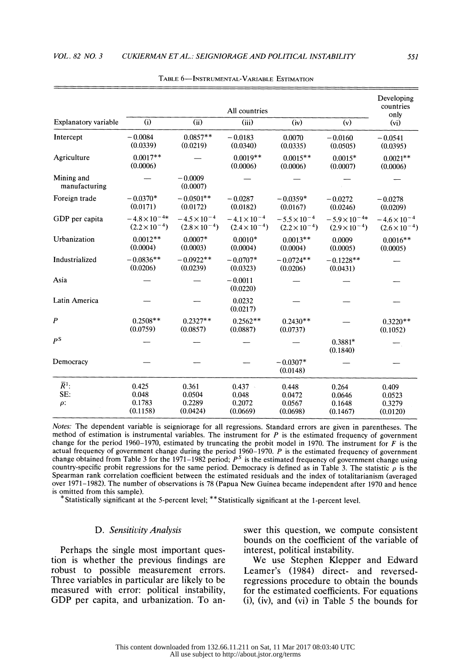|                                         | All countries                                    |                                                 |                                                 |                                                 |                                                  | Developing<br>countries                         |
|-----------------------------------------|--------------------------------------------------|-------------------------------------------------|-------------------------------------------------|-------------------------------------------------|--------------------------------------------------|-------------------------------------------------|
| Explanatory variable                    | (i)                                              | (ii)                                            | (iii)                                           | (iv)                                            | (v)                                              | only<br>(v <sub>i</sub> )                       |
| Intercept                               | $-0.0084$<br>(0.0339)                            | $0.0857**$<br>(0.0219)                          | $-0.0183$<br>(0.0340)                           | 0.0070<br>(0.0335)                              | $-0.0160$<br>(0.0505)                            | $-0.0541$<br>(0.0395)                           |
| Agriculture                             | $0.0017**$<br>(0.0006)                           |                                                 | $0.0019**$<br>(0.0006)                          | $0.0015**$<br>(0.0006)                          | $0.0015*$<br>(0.0007)                            | $0.0021**$<br>(0.0006)                          |
| Mining and<br>manufacturing             |                                                  | $-0.0009$<br>(0.0007)                           |                                                 |                                                 |                                                  |                                                 |
| Foreign trade                           | $-0.0370*$<br>(0.0171)                           | $-0.0501**$<br>(0.0172)                         | $-0.0287$<br>(0.0182)                           | $-0.0359*$<br>(0.0167)                          | $-0.0272$<br>(0.0246)                            | $-0.0278$<br>(0.0209)                           |
| GDP per capita                          | $-4.8 \times 10^{-4*}$<br>$(2.2 \times 10^{-4})$ | $-4.5 \times 10^{-4}$<br>$(2.8 \times 10^{-4})$ | $-4.1 \times 10^{-4}$<br>$(2.4 \times 10^{-4})$ | $-5.5 \times 10^{-4}$<br>$(2.2 \times 10^{-4})$ | $-5.9 \times 10^{-4*}$<br>$(2.9 \times 10^{-4})$ | $-4.6 \times 10^{-4}$<br>$(2.6 \times 10^{-4})$ |
| Urbanization                            | $0.0012**$<br>(0.0004)                           | $0.0007*$<br>(0.0003)                           | $0.0010*$<br>(0.0004)                           | $0.0013**$<br>(0.0004)                          | 0.0009<br>(0.0005)                               | $0.0016**$<br>(0.0005)                          |
| Industrialized                          | $-0.0836**$<br>(0.0206)                          | $-0.0922**$<br>(0.0239)                         | $-0.0707*$<br>(0.0323)                          | $-0.0724**$<br>(0.0206)                         | $-0.1228**$<br>(0.0431)                          |                                                 |
| Asia                                    |                                                  |                                                 | $-0.0011$<br>(0.0220)                           |                                                 |                                                  |                                                 |
| Latin America                           |                                                  |                                                 | 0.0232<br>(0.0217)                              |                                                 |                                                  |                                                 |
| $\boldsymbol{P}$                        | $0.2508**$<br>(0.0759)                           | $0.2327**$<br>(0.0857)                          | $0.2562**$<br>(0.0887)                          | $0.2430**$<br>(0.0737)                          |                                                  | $0.3220**$<br>(0.1052)                          |
| P <sup>S</sup>                          |                                                  |                                                 |                                                 |                                                 | $0.3881*$<br>(0.1840)                            |                                                 |
| Democracy                               |                                                  |                                                 |                                                 | $-0.0307*$<br>(0.0148)                          |                                                  |                                                 |
| $\overline{R}^{1}$ :<br>SE:<br>$\rho$ : | 0.425<br>0.048<br>0.1783<br>(0.1158)             | 0.361<br>0.0504<br>0.2289<br>(0.0424)           | 0.437<br>0.048<br>0.2072<br>(0.0669)            | 0.448<br>0.0472<br>0.0567<br>(0.0698)           | 0.264<br>0.0646<br>0.1648<br>(0.1467)            | 0.409<br>0.0523<br>0.3279<br>(0.0120)           |

TABLE 6-INSTRUMENTAL-VARIABLE ESTIMATION

 Notes: The dependent variable is seigniorage for all regressions. Standard errors are given in parentheses. The method of estimation is instrumental variables. The instrument for  $P$  is the estimated frequency of government change for the period 1960–1970, estimated by truncating the probit model in 1970. The instrument for  $F$  is the actual frequency of government change during the period 1960-1970. P is the estimated frequency of government change obtained from Table 3 for the 1971–1982 period;  $P<sup>S</sup>$  is the estimated frequency of government change using country-specific probit regressions for the same period. Democracy is defined as in Table 3. The statistic  $\rho$  is the Spearman rank correlation coefficient between the estimated residuals and the index of totalitarianism (averaged over 1971-1982). The number of observations is 78 (Papua New Guinea became independent after 1970 and hence is omitted from this sample).

\*Statistically significant at the 5-percent level; \*\*Statistically significant at the 1-percent level.

## D. Sensitivity Analysis

 Perhaps the single most important ques tion is whether the previous findings are robust to possible measurement errors. Three variables in particular are likely to be measured with error: political instability, GDP per capita, and urbanization. To an swer this question, we compute consistent bounds on the coefficient of the variable of interest, political instability.

 We use Stephen Klepper and Edward Leamer's (1984) direct- and reversed regressions procedure to obtain the bounds for the estimated coefficients. For equations (i), (iv), and (vi) in Table 5 the bounds for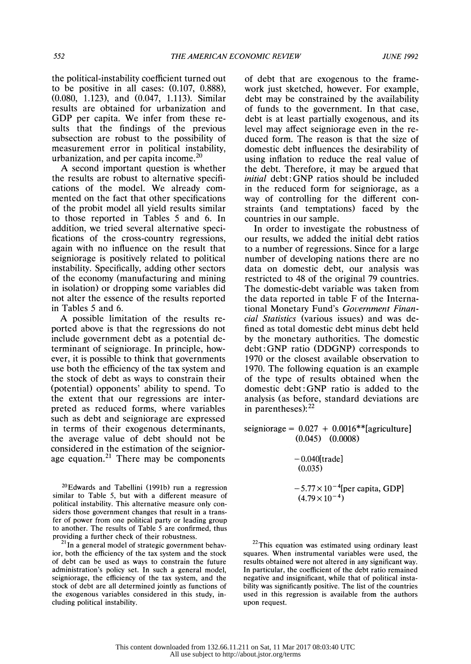the political-instability coefficient turned out to be positive in all cases: (0.107, 0.888), (0.080, 1.123), and (0.047, 1.113). Similar results are obtained for urbanization and GDP per capita. We infer from these re sults that the findings of the previous subsection are robust to the possibility of measurement error in political instability, urbanization, and per capita income. $20$ 

 A second important question is whether the results are robust to alternative specifi cations of the model. We already com mented on the fact that other specifications of the probit model all yield results similar to those reported in Tables 5 and 6. In addition, we tried several alternative speci fications of the cross-country regressions, again with no influence on the result that seigniorage is positively related to political instability. Specifically, adding other sectors of the economy (manufacturing and mining in isolation) or dropping some variables did not alter the essence of the results reported in Tables 5 and 6.

 A possible limitation of the results re ported above is that the regressions do not include government debt as a potential de terminant of seigniorage. In principle, how ever, it is possible to think that governments use both the efficiency of the tax system and the stock of debt as ways to constrain their (potential) opponents' ability to spend. To the extent that our regressions are inter preted as reduced forms, where variables such as debt and seigniorage are expressed in terms of their exogenous determinants, the average value of debt should not be considered in the estimation of the seignior age equation.<sup>21</sup> There may be components

 20Edwards and Tabellini (1991b) run a regression similar to Table 5, but with a different measure of political instability. This alternative measure only con siders those government changes that result in a trans fer of power from one political party or leading group to another. The results of Table 5 are confirmed, thus providing a further check of their robustness.

<sup>21</sup>In a general model of strategic government behav ior, both the efficiency of the tax system and the stock of debt can be used as ways to constrain the future administration's policy set. In such a general model, seigniorage, the efficiency of the tax system, and the stock of debt are all determined jointly as functions of the exogenous variables considered in this study, in cluding political instability.

 of debt that are exogenous to the frame work just sketched, however. For example, debt may be constrained by the availability of funds to the government. In that case, debt is at least partially exogenous, and its level may affect seigniorage even in the re duced form. The reason is that the size of domestic debt influences the desirability of using inflation to reduce the real value of the debt. Therefore, it may be argued that initial debt:GNP ratios should be included in the reduced form for seigniorage, as a way of controlling for the different con straints (and temptations) faced by the countries in our sample.

 In order to investigate the robustness of our results, we added the initial debt ratios to a number of regressions. Since for a large number of developing nations there are no data on domestic debt, our analysis was restricted to 48 of the original 79 countries. The domestic-debt variable was taken from the data reported in table F of the Interna tional Monetary Fund's Government Finan cial Statistics (various issues) and was de fined as total domestic debt minus debt held by the monetary authorities. The domestic debt: GNP ratio (DDGNP) corresponds to 1970 or the closest available observation to 1970. The following equation is an example of the type of results obtained when the domestic debt: GNP ratio is added to the analysis (as before, standard deviations are in parentheses): <sup>22</sup>

seigniorage =  $0.027 + 0.0016**$ [agriculture] (0.045) (0.0008)

> $-0.040$ [trade] (0.035)

 $-5.77 \times 10^{-4}$ [per capita, GDP]  $(4.79 \times 10^{-4})$ 

 $22$ This equation was estimated using ordinary least squares. When instrumental variables were used, the results obtained were not altered in any significant way. In particular, the coefficient of the debt ratio remained negative and insignificant, while that of political insta bility was significantly positive. The list of the countries used in this regression is available from the authors upon request.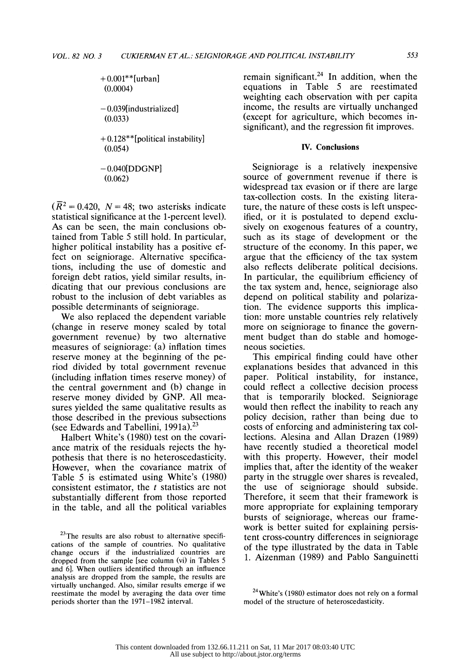$+0.001**$ [urban] (0.0004) - 0.039[industrialized] (0.033) + 0.128\*\*[political instability]  $(0.054)$  $-0.040$ [DDGNP] (0.062)

 $(\overline{R}^2 = 0.420, N = 48$ ; two asterisks indicate statistical significance at the 1-percent level). As can be seen, the main conclusions ob tained from Table 5 still hold. In particular, higher political instability has a positive ef fect on seigniorage. Alternative specifica tions, including the use of domestic and foreign debt ratios, yield similar results, in dicating that our previous conclusions are robust to the inclusion of debt variables as possible determinants of seigniorage.

 We also replaced the dependent variable (change in reserve money scaled by total government revenue) by two alternative measures of seigniorage: (a) inflation times reserve money at the beginning of the pe riod divided by total government revenue (including inflation times reserve money) of the central government and (b) change in reserve money divided by GNP. All mea sures yielded the same qualitative results as those described in the previous subsections (see Edwards and Tabellini, 1991a).<sup>23</sup>

 Halbert White's (1980) test on the covari ance matrix of the residuals rejects the hy pothesis that there is no heteroscedasticity. However, when the covariance matrix of Table 5 is estimated using White's (1980) consistent estimator, the t statistics are not substantially different from those reported in the table, and all the political variables

remain significant.<sup>24</sup> In addition, when the equations in Table 5 are reestimated weighting each observation with per capita income, the results are virtually unchanged (except for agriculture, which becomes in significant), and the regression fit improves.

#### IV. Conclusions

 Seigniorage is a relatively inexpensive source of government revenue if there is widespread tax evasion or if there are large tax-collection costs. In the existing litera ture, the nature of these costs is left unspec ified, or it is postulated to depend exclu sively on exogenous features of a country, such as its stage of development or the structure of the economy. In this paper, we argue that the efficiency of the tax system also reflects deliberate political decisions. In particular, the equilibrium efficiency of the tax system and, hence, seigniorage also depend on political stability and polariza tion. The evidence supports this implica tion: more unstable countries rely relatively more on seigniorage to finance the govern ment budget than do stable and homoge neous societies.

 This empirical finding could have other explanations besides that advanced in this paper. Political instability, for instance, could reflect a collective decision process that is temporarily blocked. Seigniorage would then reflect the inability to reach any policy decision, rather than being due to costs of enforcing and administering tax col lections. Alesina and Allan Drazen (1989) have recently studied a theoretical model with this property. However, their model implies that, after the identity of the weaker party in the struggle over shares is revealed, the use of seigniorage should subside. Therefore, it seem that their framework is more appropriate for explaining temporary bursts of seigniorage, whereas our frame work is better suited for explaining persis tent cross-country differences in seigniorage of the type illustrated by the data in Table 1. Aizenman (1989) and Pablo Sanguinetti

 $^{23}$ The results are also robust to alternative specifi cations of the sample of countries. No qualitative change occurs if the industrialized countries are dropped from the sample [see column (vi) in Tables 5 and 6]. When outliers identified through an influence analysis are dropped from the sample, the results are virtually unchanged. Also, similar results emerge if we reestimate the model by averaging the data over time periods shorter than the 1971-1982 interval.

 $24$ White's (1980) estimator does not rely on a formal model of the structure of heteroscedasticity.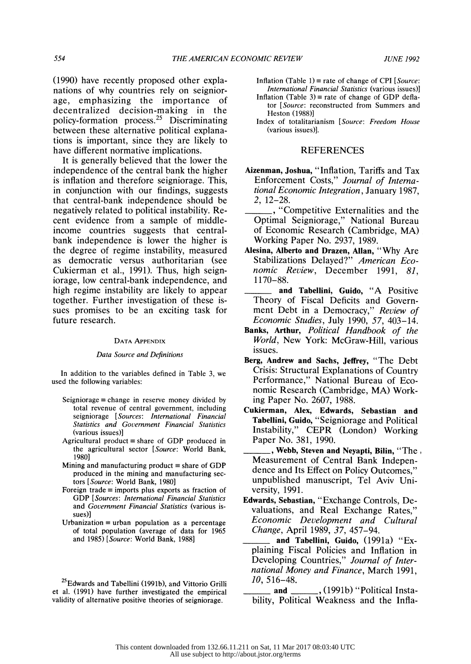(1990) have recently proposed other expla nations of why countries rely on seignior age, emphasizing the importance of decentralized decision-making in the policy-formation process.25 Discriminating between these alternative political explana tions is important, since they are likely to have different normative implications.

 It is generally believed that the lower the independence of the central bank the higher is inflation and therefore seigniorage. This, in conjunction with our findings, suggests that central-bank independence should be negatively related to political instability. Re cent evidence from a sample of middle income countries suggests that central bank independence is lower the higher is the degree of regime instability, measured as democratic versus authoritarian (see Cukierman et al., 1991). Thus, high seign iorage, low central-bank independence, and high regime instability are likely to appear together. Further investigation of these is sues promises to be an exciting task for future research.

#### DATA APPENDIX

#### Data Source and Definitions

 In addition to the variables defined in Table 3, we used the following variables:

- Seigniorage  $\equiv$  change in reserve money divided by total revenue of central government, including seigniorage [Sources: International Financial Statistics and Government Financial Statistics (various issues)]
- Agricultural product  $\equiv$  share of GDP produced in the agricultural sector [Source: World Bank, 1980]
- Mining and manufacturing product  $\equiv$  share of GDP produced in the mining and manufacturing sec tors [Source: World Bank, 1980]
- Foreign trade  $\equiv$  imports plus exports as fraction of GDP [Sources: International Financial Statistics and Government Financial Statistics (various is sues)]
- Urbanization  $\equiv$  urban population as a percentage of total population (average of data for 1965 and 1985) [Source: World Bank, 1988]

<sup>25</sup>Edwards and Tabellini (1991b), and Vittorio Grilli et al. (1991) have further investigated the empirical validity of alternative positive theories of seigniorage.

- Inflation (Table 1)  $\equiv$  rate of change of CPI [Source: International Financial Statistics (various issues)]
- Inflation (Table 3) = rate of change of GDP defla tor [Source: reconstructed from Summers and Heston (1988)]
- Index of totalitarianism [Source: Freedom House (various issues)].

#### **REFERENCES**

- Aizenman, Joshua, "Inflation, Tariffs and Tax Enforcement Costs," Journal of Interna tional Economic Integration, January 1987, 2, 12-28.
- , "Competitive Externalities and the Optimal Seigniorage," National Bureau of Economic Research (Cambridge, MA) Working Paper No. 2937, 1989.
- Alesina, Alberto and Drazen, Allan, "Why Are Stabilizations Delayed?" American Eco nomic Review, December 1991, 81, 1170-88.
- and Tabellini, Guido, "A Positive Theory of Fiscal Deficits and Govern ment Debt in a Democracy," Review of Economic Studies, July 1990, 57, 403-14.
- Banks, Arthur, Political Handbook of the World, New York: McGraw-Hill, various issues.
- Berg, Andrew and Sachs, Jeffrey, "The Debt Crisis: Structural Explanations of Country Performance," National Bureau of Eco nomic Research (Cambridge, MA) Work ing Paper No. 2607, 1988.
- Cukierman, Alex, Edwards, Sebastian and Tabellini, Guido, "Seigniorage and Political Instability," CEPR (London) Working Paper No. 381, 1990.
- , Webb, Steven and Neyapti, Bilin, "The, Measurement of Central Bank Indepen dence and Its Effect on Policy Outcomes," unpublished manuscript, Tel Aviv Uni versity, 1991.
- Edwards, Sebastian, "Exchange Controls, De valuations, and Real Exchange Rates," Economic Development and Cultural Change, April 1989, 37, 457-94.
- and Tabellini, Guido, (1991a) "Ex plaining Fiscal Policies and Inflation in Developing Countries," Journal of Inter national Money and Finance, March 1991, 10, 516-48.

 $\_$  and  $\_$ , (1991b) "Political Instability, Political Weakness and the Infla